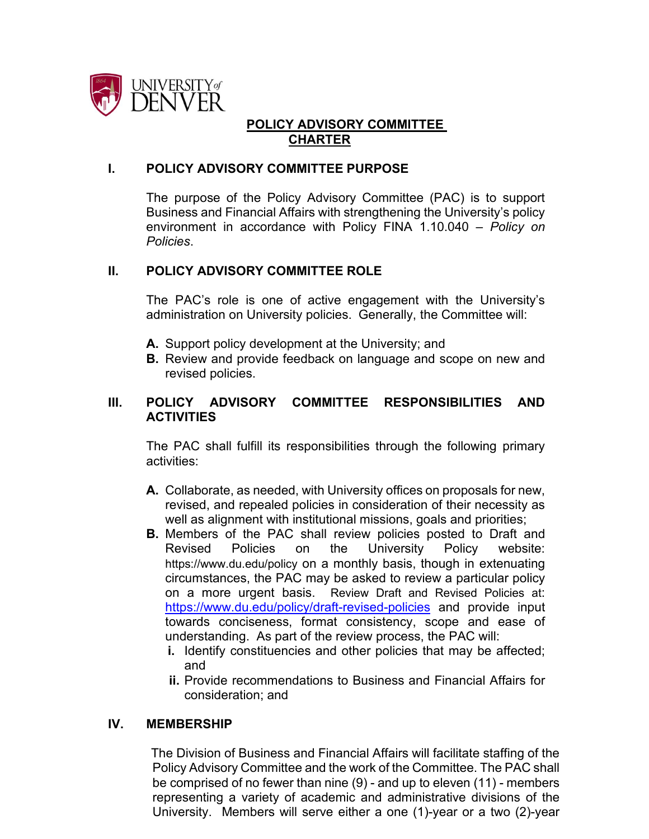

## **POLICY ADVISORY COMMITTEE CHARTER**

#### **I. POLICY ADVISORY COMMITTEE PURPOSE**

The purpose of the Policy Advisory Committee (PAC) is to support Business and Financial Affairs with strengthening the University's policy environment in accordance with Policy FINA 1.10.040 – *Policy on Policies*.

### **II. POLICY ADVISORY COMMITTEE ROLE**

The PAC's role is one of active engagement with the University's administration on University policies. Generally, the Committee will:

- **A.** Support policy development at the University; and
- **B.** Review and provide feedback on language and scope on new and revised policies.

### **III. POLICY ADVISORY COMMITTEE RESPONSIBILITIES AND ACTIVITIES**

The PAC shall fulfill its responsibilities through the following primary activities:

- **A.** Collaborate, as needed, with University offices on proposals for new, revised, and repealed policies in consideration of their necessity as well as alignment with institutional missions, goals and priorities;
- **B.** Members of the PAC shall review policies posted to Draft and Revised Policies on the University Policy website: <https://www.du.edu/policy> on a monthly basis, though in extenuating circumstances, the PAC may be asked to review a particular policy on a more urgent basis. Review Draft and Revised Policies at: <https://www.du.edu/policy/draft-revised-policies> and provide input towards conciseness, format consistency, scope and ease of understanding. As part of the review process, the PAC will:
	- **i.** Identify constituencies and other policies that may be affected; and
	- **ii.** Provide recommendations to Business and Financial Affairs for consideration; and

### **IV. MEMBERSHIP**

The Division of Business and Financial Affairs will facilitate staffing of the Policy Advisory Committee and the work of the Committee. The PAC shall be comprised of no fewer than nine (9) - and up to eleven (11) - members representing a variety of academic and administrative divisions of the University. Members will serve either a one (1)-year or a two (2)-year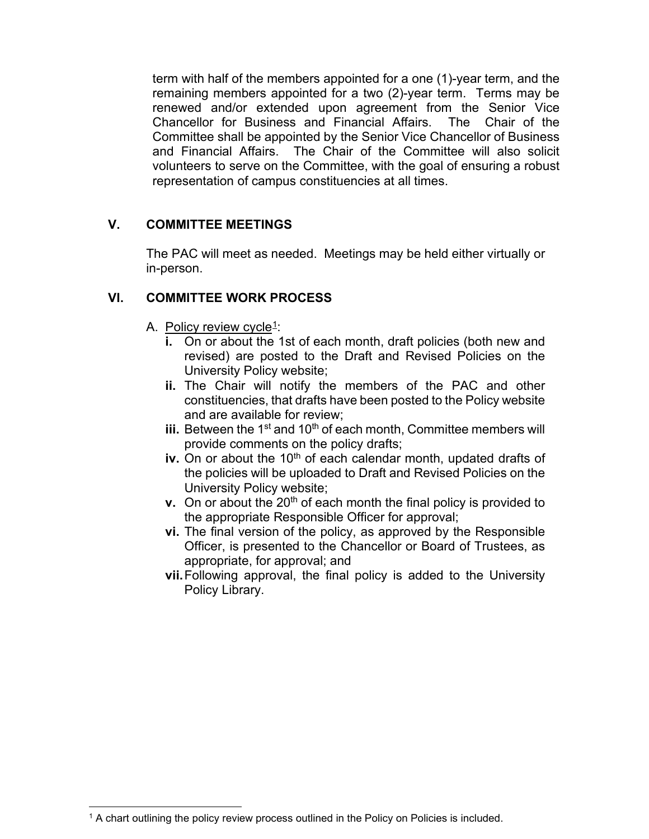term with half of the members appointed for a one (1)-year term, and the remaining members appointed for a two (2)-year term. Terms may be renewed and/or extended upon agreement from the Senior Vice Chancellor for Business and Financial Affairs. The Chair of the Committee shall be appointed by the Senior Vice Chancellor of Business and Financial Affairs. The Chair of the Committee will also solicit volunteers to serve on the Committee, with the goal of ensuring a robust representation of campus constituencies at all times.

## **V. COMMITTEE MEETINGS**

The PAC will meet as needed. Meetings may be held either virtually or in-person.

### **VI. COMMITTEE WORK PROCESS**

- A. Policy review cycle<sup>1</sup>:
	- **i.** On or about the 1st of each month, draft policies (both new and revised) are posted to the Draft and Revised Policies on the University Policy website;
	- **ii.** The Chair will notify the members of the PAC and other constituencies, that drafts have been posted to the Policy website and are available for review;
	- **iii.** Between the 1<sup>st</sup> and 10<sup>th</sup> of each month, Committee members will provide comments on the policy drafts;
	- iv. On or about the 10<sup>th</sup> of each calendar month, updated drafts of the policies will be uploaded to Draft and Revised Policies on the University Policy website;
	- **v.** On or about the 20<sup>th</sup> of each month the final policy is provided to the appropriate Responsible Officer for approval;
	- **vi.** The final version of the policy, as approved by the Responsible Officer, is presented to the Chancellor or Board of Trustees, as appropriate, for approval; and
	- **vii.**Following approval, the final policy is added to the University Policy Library.

<span id="page-1-0"></span><sup>1</sup> A chart outlining the policy review process outlined in the Policy on Policies is included.